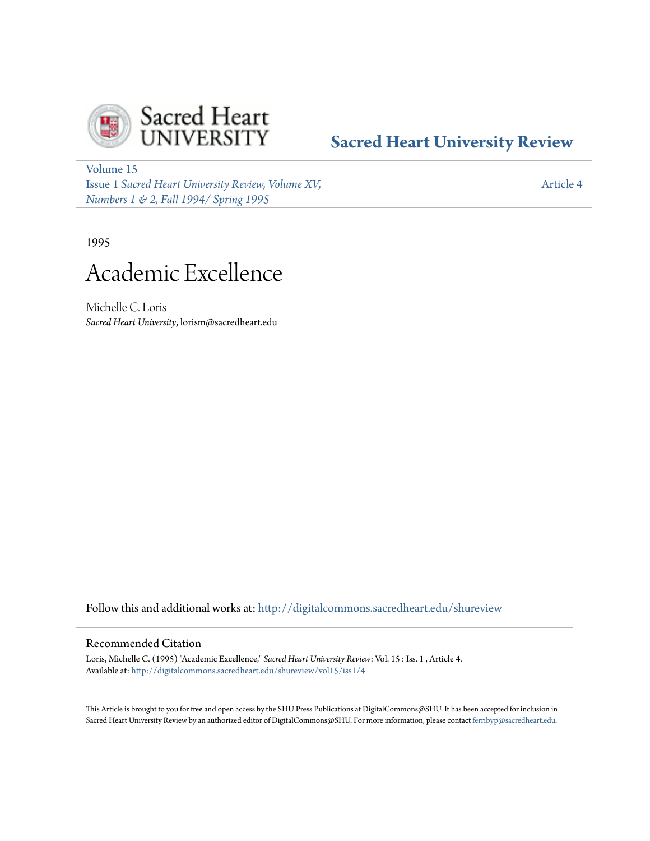

# **[Sacred Heart University Review](http://digitalcommons.sacredheart.edu/shureview?utm_source=digitalcommons.sacredheart.edu%2Fshureview%2Fvol15%2Fiss1%2F4&utm_medium=PDF&utm_campaign=PDFCoverPages)**

[Volume 15](http://digitalcommons.sacredheart.edu/shureview/vol15?utm_source=digitalcommons.sacredheart.edu%2Fshureview%2Fvol15%2Fiss1%2F4&utm_medium=PDF&utm_campaign=PDFCoverPages) Issue 1 *[Sacred Heart University Review, Volume XV,](http://digitalcommons.sacredheart.edu/shureview/vol15/iss1?utm_source=digitalcommons.sacredheart.edu%2Fshureview%2Fvol15%2Fiss1%2F4&utm_medium=PDF&utm_campaign=PDFCoverPages) [Numbers 1 & 2, Fall 1994/ Spring 1995](http://digitalcommons.sacredheart.edu/shureview/vol15/iss1?utm_source=digitalcommons.sacredheart.edu%2Fshureview%2Fvol15%2Fiss1%2F4&utm_medium=PDF&utm_campaign=PDFCoverPages)*

[Article 4](http://digitalcommons.sacredheart.edu/shureview/vol15/iss1/4?utm_source=digitalcommons.sacredheart.edu%2Fshureview%2Fvol15%2Fiss1%2F4&utm_medium=PDF&utm_campaign=PDFCoverPages)

1995

# Academic Excellence

Michelle C. Loris *Sacred Heart University*, lorism@sacredheart.edu

Follow this and additional works at: [http://digitalcommons.sacredheart.edu/shureview](http://digitalcommons.sacredheart.edu/shureview?utm_source=digitalcommons.sacredheart.edu%2Fshureview%2Fvol15%2Fiss1%2F4&utm_medium=PDF&utm_campaign=PDFCoverPages)

### Recommended Citation

Loris, Michelle C. (1995) "Academic Excellence," *Sacred Heart University Review*: Vol. 15 : Iss. 1 , Article 4. Available at: [http://digitalcommons.sacredheart.edu/shureview/vol15/iss1/4](http://digitalcommons.sacredheart.edu/shureview/vol15/iss1/4?utm_source=digitalcommons.sacredheart.edu%2Fshureview%2Fvol15%2Fiss1%2F4&utm_medium=PDF&utm_campaign=PDFCoverPages)

This Article is brought to you for free and open access by the SHU Press Publications at DigitalCommons@SHU. It has been accepted for inclusion in Sacred Heart University Review by an authorized editor of DigitalCommons@SHU. For more information, please contact [ferribyp@sacredheart.edu](mailto:ferribyp@sacredheart.edu).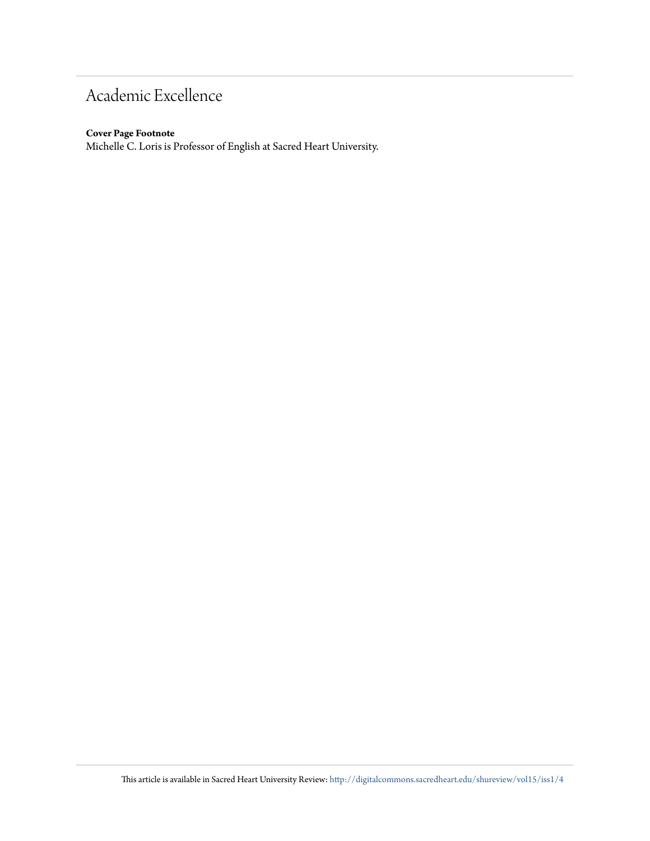# Academic Excellence

#### **Cover Page Footnote**

Michelle C. Loris is Professor of English at Sacred Heart University.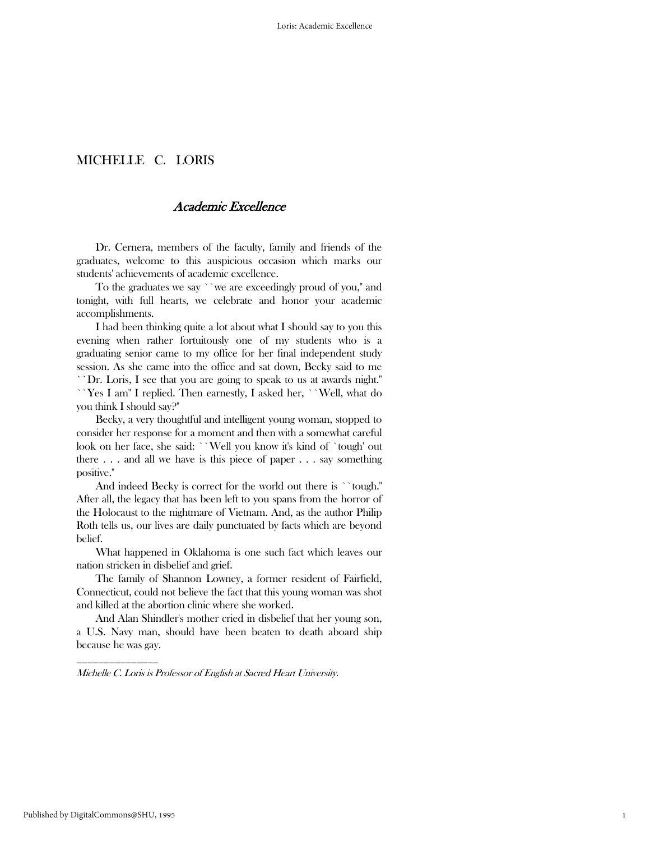## MICHELLE C. LORIS

## Academic Excellence

 Dr. Cernera, members of the faculty, family and friends of the graduates, welcome to this auspicious occasion which marks our students' achievements of academic excellence.

 To the graduates we say ``we are exceedingly proud of you,'' and tonight, with full hearts, we celebrate and honor your academic accomplishments.

 I had been thinking quite a lot about what I should say to you this evening when rather fortuitously one of my students who is a graduating senior came to my office for her final independent study session. As she came into the office and sat down, Becky said to me ``Dr. Loris, I see that you are going to speak to us at awards night.'' ``Yes I am'' I replied. Then earnestly, I asked her, ``Well, what do you think I should say?''

 Becky, a very thoughtful and intelligent young woman, stopped to consider her response for a moment and then with a somewhat careful look on her face, she said: ``Well you know it's kind of `tough' out there  $\dots$  and all we have is this piece of paper  $\dots$  say something positive.''

 And indeed Becky is correct for the world out there is ``tough.'' After all, the legacy that has been left to you spans from the horror of the Holocaust to the nightmare of Vietnam. And, as the author Philip Roth tells us, our lives are daily punctuated by facts which are beyond belief.

 What happened in Oklahoma is one such fact which leaves our nation stricken in disbelief and grief.

 The family of Shannon Lowney, a former resident of Fairfield, Connecticut, could not believe the fact that this young woman was shot and killed at the abortion clinic where she worked.

 And Alan Shindler's mother cried in disbelief that her young son, a U.S. Navy man, should have been beaten to death aboard ship because he was gay.

1

Michelle C. Loris is Professor of English at Sacred Heart University.

\_\_\_\_\_\_\_\_\_\_\_\_\_\_\_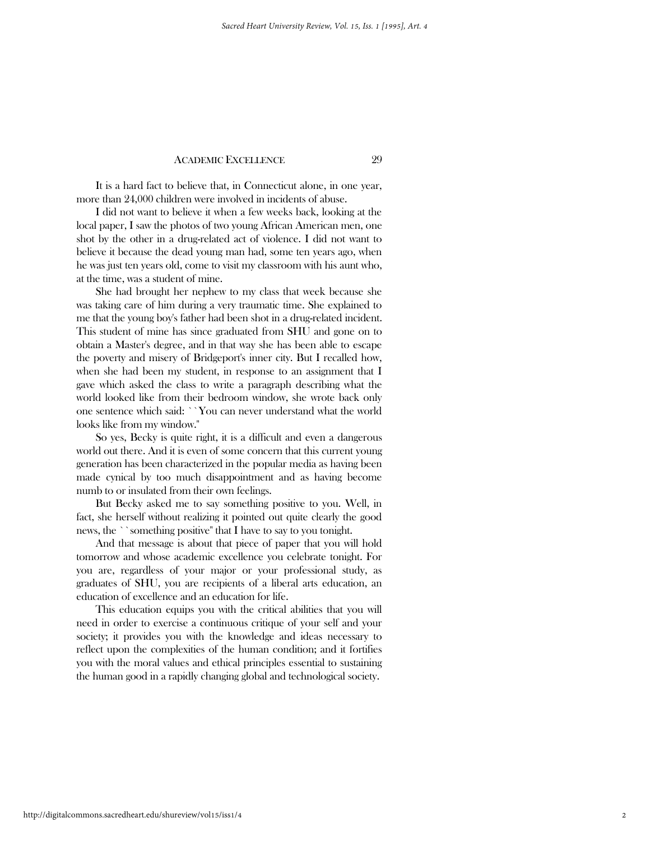#### ACADEMIC EXCELLENCE 29

 It is a hard fact to believe that, in Connecticut alone, in one year, more than 24,000 children were involved in incidents of abuse.

 I did not want to believe it when a few weeks back, looking at the local paper, I saw the photos of two young African American men, one shot by the other in a drug-related act of violence. I did not want to believe it because the dead young man had, some ten years ago, when he was just ten years old, come to visit my classroom with his aunt who, at the time, was a student of mine.

 She had brought her nephew to my class that week because she was taking care of him during a very traumatic time. She explained to me that the young boy's father had been shot in a drug-related incident. This student of mine has since graduated from SHU and gone on to obtain a Master's degree, and in that way she has been able to escape the poverty and misery of Bridgeport's inner city. But I recalled how, when she had been my student, in response to an assignment that I gave which asked the class to write a paragraph describing what the world looked like from their bedroom window, she wrote back only one sentence which said: ``You can never understand what the world looks like from my window.''

 So yes, Becky is quite right, it is a difficult and even a dangerous world out there. And it is even of some concern that this current young generation has been characterized in the popular media as having been made cynical by too much disappointment and as having become numb to or insulated from their own feelings.

 But Becky asked me to say something positive to you. Well, in fact, she herself without realizing it pointed out quite clearly the good news, the ``something positive'' that I have to say to you tonight.

 And that message is about that piece of paper that you will hold tomorrow and whose academic excellence you celebrate tonight. For you are, regardless of your major or your professional study, as graduates of SHU, you are recipients of a liberal arts education, an education of excellence and an education for life.

 This education equips you with the critical abilities that you will need in order to exercise a continuous critique of your self and your society; it provides you with the knowledge and ideas necessary to reflect upon the complexities of the human condition; and it fortifies you with the moral values and ethical principles essential to sustaining the human good in a rapidly changing global and technological society.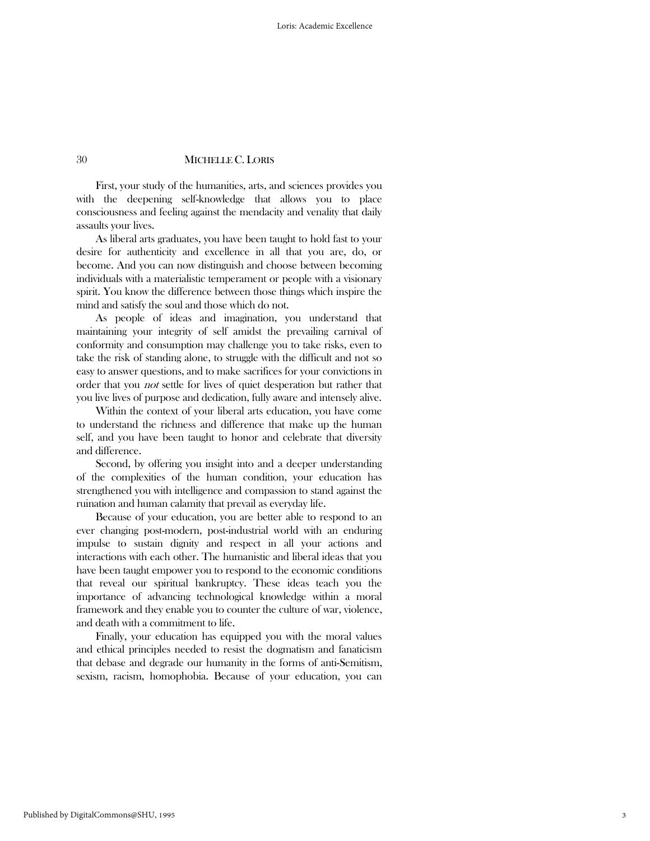#### 30 MICHELLE C. LORIS

 First, your study of the humanities, arts, and sciences provides you with the deepening self-knowledge that allows you to place consciousness and feeling against the mendacity and venality that daily assaults your lives.

 As liberal arts graduates, you have been taught to hold fast to your desire for authenticity and excellence in all that you are, do, or become. And you can now distinguish and choose between becoming individuals with a materialistic temperament or people with a visionary spirit. You know the difference between those things which inspire the mind and satisfy the soul and those which do not.

 As people of ideas and imagination, you understand that maintaining your integrity of self amidst the prevailing carnival of conformity and consumption may challenge you to take risks, even to take the risk of standing alone, to struggle with the difficult and not so easy to answer questions, and to make sacrifices for your convictions in order that you not settle for lives of quiet desperation but rather that you live lives of purpose and dedication, fully aware and intensely alive.

 Within the context of your liberal arts education, you have come to understand the richness and difference that make up the human self, and you have been taught to honor and celebrate that diversity and difference.

 Second, by offering you insight into and a deeper understanding of the complexities of the human condition, your education has strengthened you with intelligence and compassion to stand against the ruination and human calamity that prevail as everyday life.

 Because of your education, you are better able to respond to an ever changing post-modern, post-industrial world with an enduring impulse to sustain dignity and respect in all your actions and interactions with each other. The humanistic and liberal ideas that you have been taught empower you to respond to the economic conditions that reveal our spiritual bankruptcy. These ideas teach you the importance of advancing technological knowledge within a moral framework and they enable you to counter the culture of war, violence, and death with a commitment to life.

 Finally, your education has equipped you with the moral values and ethical principles needed to resist the dogmatism and fanaticism that debase and degrade our humanity in the forms of anti-Semitism, sexism, racism, homophobia. Because of your education, you can